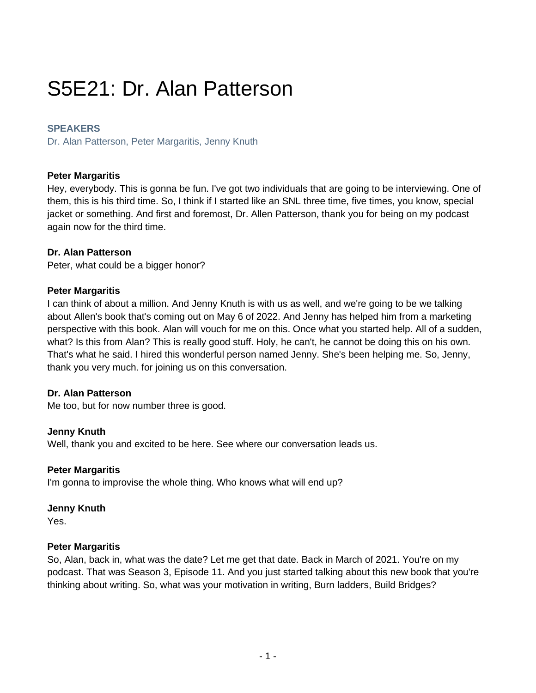# S5E21: Dr. Alan Patterson

## **SPEAKERS**

Dr. Alan Patterson, Peter Margaritis, Jenny Knuth

## **Peter Margaritis**

Hey, everybody. This is gonna be fun. I've got two individuals that are going to be interviewing. One of them, this is his third time. So, I think if I started like an SNL three time, five times, you know, special jacket or something. And first and foremost, Dr. Allen Patterson, thank you for being on my podcast again now for the third time.

## **Dr. Alan Patterson**

Peter, what could be a bigger honor?

## **Peter Margaritis**

I can think of about a million. And Jenny Knuth is with us as well, and we're going to be we talking about Allen's book that's coming out on May 6 of 2022. And Jenny has helped him from a marketing perspective with this book. Alan will vouch for me on this. Once what you started help. All of a sudden, what? Is this from Alan? This is really good stuff. Holy, he can't, he cannot be doing this on his own. That's what he said. I hired this wonderful person named Jenny. She's been helping me. So, Jenny, thank you very much. for joining us on this conversation.

## **Dr. Alan Patterson**

Me too, but for now number three is good.

## **Jenny Knuth**

Well, thank you and excited to be here. See where our conversation leads us.

## **Peter Margaritis**

I'm gonna to improvise the whole thing. Who knows what will end up?

#### **Jenny Knuth**

Yes.

## **Peter Margaritis**

So, Alan, back in, what was the date? Let me get that date. Back in March of 2021. You're on my podcast. That was Season 3, Episode 11. And you just started talking about this new book that you're thinking about writing. So, what was your motivation in writing, Burn ladders, Build Bridges?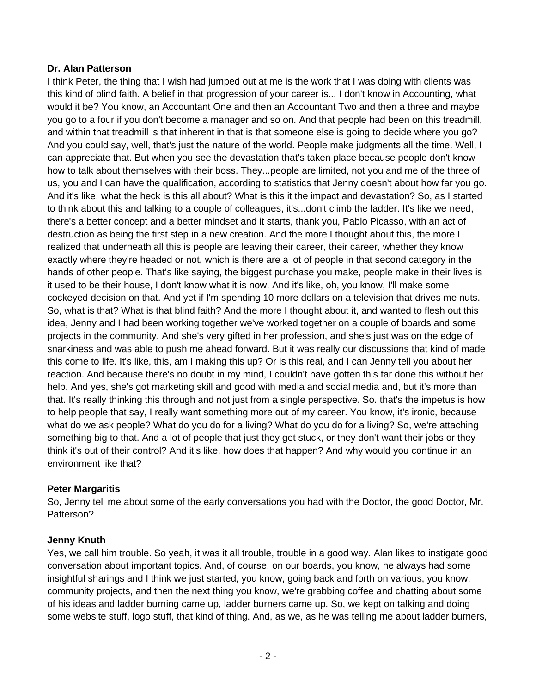# **Dr. Alan Patterson**

I think Peter, the thing that I wish had jumped out at me is the work that I was doing with clients was this kind of blind faith. A belief in that progression of your career is... I don't know in Accounting, what would it be? You know, an Accountant One and then an Accountant Two and then a three and maybe you go to a four if you don't become a manager and so on. And that people had been on this treadmill, and within that treadmill is that inherent in that is that someone else is going to decide where you go? And you could say, well, that's just the nature of the world. People make judgments all the time. Well, I can appreciate that. But when you see the devastation that's taken place because people don't know how to talk about themselves with their boss. They...people are limited, not you and me of the three of us, you and I can have the qualification, according to statistics that Jenny doesn't about how far you go. And it's like, what the heck is this all about? What is this it the impact and devastation? So, as I started to think about this and talking to a couple of colleagues, it's...don't climb the ladder. It's like we need, there's a better concept and a better mindset and it starts, thank you, Pablo Picasso, with an act of destruction as being the first step in a new creation. And the more I thought about this, the more I realized that underneath all this is people are leaving their career, their career, whether they know exactly where they're headed or not, which is there are a lot of people in that second category in the hands of other people. That's like saying, the biggest purchase you make, people make in their lives is it used to be their house, I don't know what it is now. And it's like, oh, you know, I'll make some cockeyed decision on that. And yet if I'm spending 10 more dollars on a television that drives me nuts. So, what is that? What is that blind faith? And the more I thought about it, and wanted to flesh out this idea, Jenny and I had been working together we've worked together on a couple of boards and some projects in the community. And she's very gifted in her profession, and she's just was on the edge of snarkiness and was able to push me ahead forward. But it was really our discussions that kind of made this come to life. It's like, this, am I making this up? Or is this real, and I can Jenny tell you about her reaction. And because there's no doubt in my mind, I couldn't have gotten this far done this without her help. And yes, she's got marketing skill and good with media and social media and, but it's more than that. It's really thinking this through and not just from a single perspective. So. that's the impetus is how to help people that say, I really want something more out of my career. You know, it's ironic, because what do we ask people? What do you do for a living? What do you do for a living? So, we're attaching something big to that. And a lot of people that just they get stuck, or they don't want their jobs or they think it's out of their control? And it's like, how does that happen? And why would you continue in an environment like that?

# **Peter Margaritis**

So, Jenny tell me about some of the early conversations you had with the Doctor, the good Doctor, Mr. Patterson?

## **Jenny Knuth**

Yes, we call him trouble. So yeah, it was it all trouble, trouble in a good way. Alan likes to instigate good conversation about important topics. And, of course, on our boards, you know, he always had some insightful sharings and I think we just started, you know, going back and forth on various, you know, community projects, and then the next thing you know, we're grabbing coffee and chatting about some of his ideas and ladder burning came up, ladder burners came up. So, we kept on talking and doing some website stuff, logo stuff, that kind of thing. And, as we, as he was telling me about ladder burners,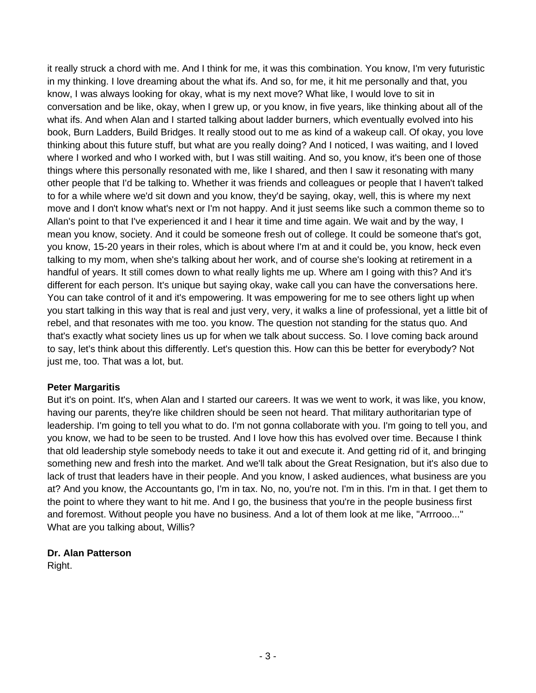it really struck a chord with me. And I think for me, it was this combination. You know, I'm very futuristic in my thinking. I love dreaming about the what ifs. And so, for me, it hit me personally and that, you know, I was always looking for okay, what is my next move? What like, I would love to sit in conversation and be like, okay, when I grew up, or you know, in five years, like thinking about all of the what ifs. And when Alan and I started talking about ladder burners, which eventually evolved into his book, Burn Ladders, Build Bridges. It really stood out to me as kind of a wakeup call. Of okay, you love thinking about this future stuff, but what are you really doing? And I noticed, I was waiting, and I loved where I worked and who I worked with, but I was still waiting. And so, you know, it's been one of those things where this personally resonated with me, like I shared, and then I saw it resonating with many other people that I'd be talking to. Whether it was friends and colleagues or people that I haven't talked to for a while where we'd sit down and you know, they'd be saying, okay, well, this is where my next move and I don't know what's next or I'm not happy. And it just seems like such a common theme so to Allan's point to that I've experienced it and I hear it time and time again. We wait and by the way, I mean you know, society. And it could be someone fresh out of college. It could be someone that's got, you know, 15-20 years in their roles, which is about where I'm at and it could be, you know, heck even talking to my mom, when she's talking about her work, and of course she's looking at retirement in a handful of years. It still comes down to what really lights me up. Where am I going with this? And it's different for each person. It's unique but saying okay, wake call you can have the conversations here. You can take control of it and it's empowering. It was empowering for me to see others light up when you start talking in this way that is real and just very, very, it walks a line of professional, yet a little bit of rebel, and that resonates with me too. you know. The question not standing for the status quo. And that's exactly what society lines us up for when we talk about success. So. I love coming back around to say, let's think about this differently. Let's question this. How can this be better for everybody? Not just me, too. That was a lot, but.

## **Peter Margaritis**

But it's on point. It's, when Alan and I started our careers. It was we went to work, it was like, you know, having our parents, they're like children should be seen not heard. That military authoritarian type of leadership. I'm going to tell you what to do. I'm not gonna collaborate with you. I'm going to tell you, and you know, we had to be seen to be trusted. And I love how this has evolved over time. Because I think that old leadership style somebody needs to take it out and execute it. And getting rid of it, and bringing something new and fresh into the market. And we'll talk about the Great Resignation, but it's also due to lack of trust that leaders have in their people. And you know, I asked audiences, what business are you at? And you know, the Accountants go, I'm in tax. No, no, you're not. I'm in this. I'm in that. I get them to the point to where they want to hit me. And I go, the business that you're in the people business first and foremost. Without people you have no business. And a lot of them look at me like, "Arrrooo..." What are you talking about, Willis?

# **Dr. Alan Patterson**

Right.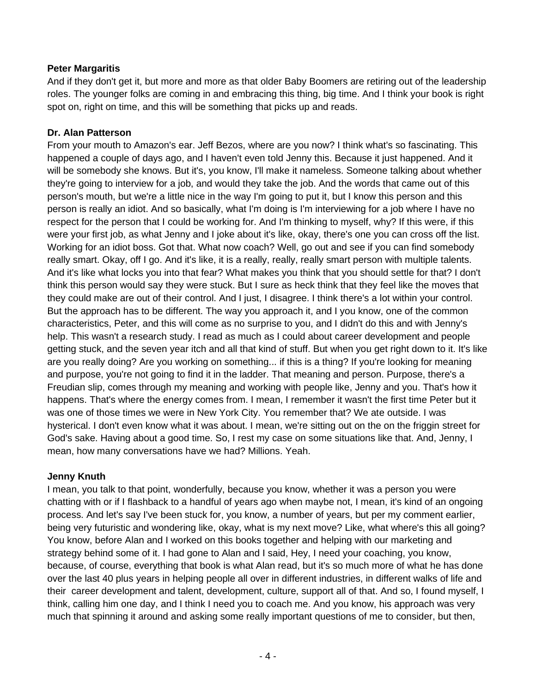# **Peter Margaritis**

And if they don't get it, but more and more as that older Baby Boomers are retiring out of the leadership roles. The younger folks are coming in and embracing this thing, big time. And I think your book is right spot on, right on time, and this will be something that picks up and reads.

# **Dr. Alan Patterson**

From your mouth to Amazon's ear. Jeff Bezos, where are you now? I think what's so fascinating. This happened a couple of days ago, and I haven't even told Jenny this. Because it just happened. And it will be somebody she knows. But it's, you know, I'll make it nameless. Someone talking about whether they're going to interview for a job, and would they take the job. And the words that came out of this person's mouth, but we're a little nice in the way I'm going to put it, but I know this person and this person is really an idiot. And so basically, what I'm doing is I'm interviewing for a job where I have no respect for the person that I could be working for. And I'm thinking to myself, why? If this were, if this were your first job, as what Jenny and I joke about it's like, okay, there's one you can cross off the list. Working for an idiot boss. Got that. What now coach? Well, go out and see if you can find somebody really smart. Okay, off I go. And it's like, it is a really, really, really smart person with multiple talents. And it's like what locks you into that fear? What makes you think that you should settle for that? I don't think this person would say they were stuck. But I sure as heck think that they feel like the moves that they could make are out of their control. And I just, I disagree. I think there's a lot within your control. But the approach has to be different. The way you approach it, and I you know, one of the common characteristics, Peter, and this will come as no surprise to you, and I didn't do this and with Jenny's help. This wasn't a research study. I read as much as I could about career development and people getting stuck, and the seven year itch and all that kind of stuff. But when you get right down to it. It's like are you really doing? Are you working on something... if this is a thing? If you're looking for meaning and purpose, you're not going to find it in the ladder. That meaning and person. Purpose, there's a Freudian slip, comes through my meaning and working with people like, Jenny and you. That's how it happens. That's where the energy comes from. I mean, I remember it wasn't the first time Peter but it was one of those times we were in New York City. You remember that? We ate outside. I was hysterical. I don't even know what it was about. I mean, we're sitting out on the on the friggin street for God's sake. Having about a good time. So, I rest my case on some situations like that. And, Jenny, I mean, how many conversations have we had? Millions. Yeah.

# **Jenny Knuth**

I mean, you talk to that point, wonderfully, because you know, whether it was a person you were chatting with or if I flashback to a handful of years ago when maybe not, I mean, it's kind of an ongoing process. And let's say I've been stuck for, you know, a number of years, but per my comment earlier, being very futuristic and wondering like, okay, what is my next move? Like, what where's this all going? You know, before Alan and I worked on this books together and helping with our marketing and strategy behind some of it. I had gone to Alan and I said, Hey, I need your coaching, you know, because, of course, everything that book is what Alan read, but it's so much more of what he has done over the last 40 plus years in helping people all over in different industries, in different walks of life and their career development and talent, development, culture, support all of that. And so, I found myself, I think, calling him one day, and I think I need you to coach me. And you know, his approach was very much that spinning it around and asking some really important questions of me to consider, but then,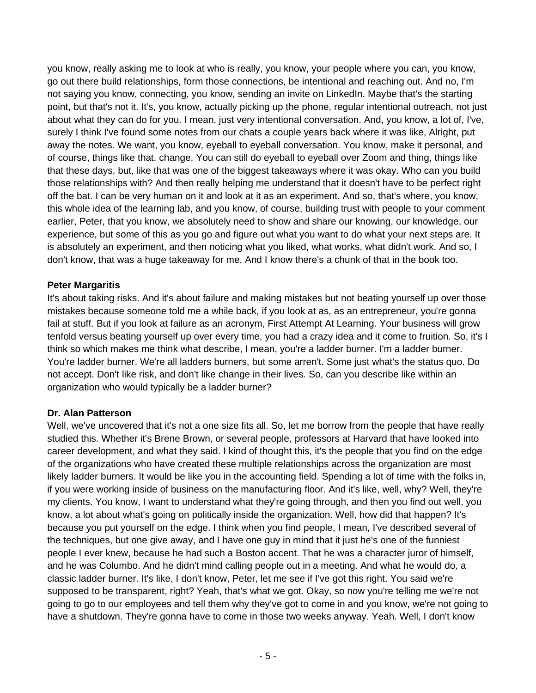you know, really asking me to look at who is really, you know, your people where you can, you know, go out there build relationships, form those connections, be intentional and reaching out. And no, I'm not saying you know, connecting, you know, sending an invite on LinkedIn. Maybe that's the starting point, but that's not it. It's, you know, actually picking up the phone, regular intentional outreach, not just about what they can do for you. I mean, just very intentional conversation. And, you know, a lot of, I've, surely I think I've found some notes from our chats a couple years back where it was like, Alright, put away the notes. We want, you know, eyeball to eyeball conversation. You know, make it personal, and of course, things like that. change. You can still do eyeball to eyeball over Zoom and thing, things like that these days, but, like that was one of the biggest takeaways where it was okay. Who can you build those relationships with? And then really helping me understand that it doesn't have to be perfect right off the bat. I can be very human on it and look at it as an experiment. And so, that's where, you know, this whole idea of the learning lab, and you know, of course, building trust with people to your comment earlier, Peter, that you know, we absolutely need to show and share our knowing, our knowledge, our experience, but some of this as you go and figure out what you want to do what your next steps are. It is absolutely an experiment, and then noticing what you liked, what works, what didn't work. And so, I don't know, that was a huge takeaway for me. And I know there's a chunk of that in the book too.

## **Peter Margaritis**

It's about taking risks. And it's about failure and making mistakes but not beating yourself up over those mistakes because someone told me a while back, if you look at as, as an entrepreneur, you're gonna fail at stuff. But if you look at failure as an acronym, First Attempt At Learning. Your business will grow tenfold versus beating yourself up over every time, you had a crazy idea and it come to fruition. So, it's I think so which makes me think what describe, I mean, you're a ladder burner. I'm a ladder burner. You're ladder burner. We're all ladders burners, but some arren't. Some just what's the status quo. Do not accept. Don't like risk, and don't like change in their lives. So, can you describe like within an organization who would typically be a ladder burner?

## **Dr. Alan Patterson**

Well, we've uncovered that it's not a one size fits all. So, let me borrow from the people that have really studied this. Whether it's Brene Brown, or several people, professors at Harvard that have looked into career development, and what they said. I kind of thought this, it's the people that you find on the edge of the organizations who have created these multiple relationships across the organization are most likely ladder burners. It would be like you in the accounting field. Spending a lot of time with the folks in, if you were working inside of business on the manufacturing floor. And it's like, well, why? Well, they're my clients. You know, I want to understand what they're going through, and then you find out well, you know, a lot about what's going on politically inside the organization. Well, how did that happen? It's because you put yourself on the edge. I think when you find people, I mean, I've described several of the techniques, but one give away, and I have one guy in mind that it just he's one of the funniest people I ever knew, because he had such a Boston accent. That he was a character juror of himself, and he was Columbo. And he didn't mind calling people out in a meeting. And what he would do, a classic ladder burner. It's like, I don't know, Peter, let me see if I've got this right. You said we're supposed to be transparent, right? Yeah, that's what we got. Okay, so now you're telling me we're not going to go to our employees and tell them why they've got to come in and you know, we're not going to have a shutdown. They're gonna have to come in those two weeks anyway. Yeah. Well, I don't know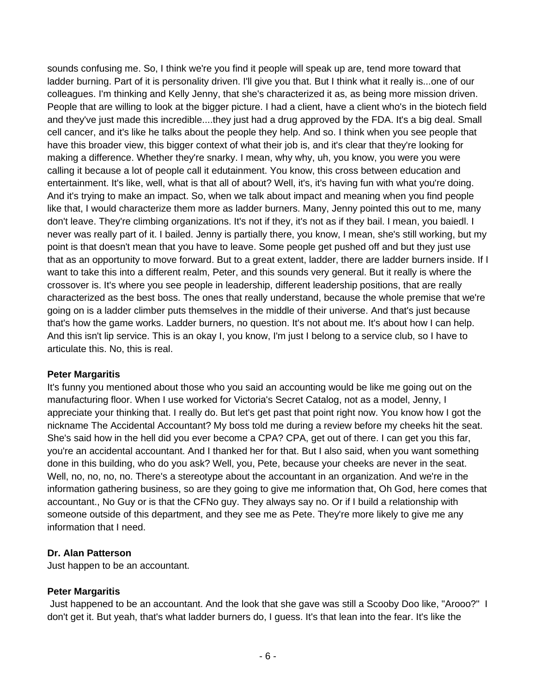sounds confusing me. So, I think we're you find it people will speak up are, tend more toward that ladder burning. Part of it is personality driven. I'll give you that. But I think what it really is...one of our colleagues. I'm thinking and Kelly Jenny, that she's characterized it as, as being more mission driven. People that are willing to look at the bigger picture. I had a client, have a client who's in the biotech field and they've just made this incredible....they just had a drug approved by the FDA. It's a big deal. Small cell cancer, and it's like he talks about the people they help. And so. I think when you see people that have this broader view, this bigger context of what their job is, and it's clear that they're looking for making a difference. Whether they're snarky. I mean, why why, uh, you know, you were you were calling it because a lot of people call it edutainment. You know, this cross between education and entertainment. It's like, well, what is that all of about? Well, it's, it's having fun with what you're doing. And it's trying to make an impact. So, when we talk about impact and meaning when you find people like that, I would characterize them more as ladder burners. Many, Jenny pointed this out to me, many don't leave. They're climbing organizations. It's not if they, it's not as if they bail. I mean, you baiedl. I never was really part of it. I bailed. Jenny is partially there, you know, I mean, she's still working, but my point is that doesn't mean that you have to leave. Some people get pushed off and but they just use that as an opportunity to move forward. But to a great extent, ladder, there are ladder burners inside. If I want to take this into a different realm, Peter, and this sounds very general. But it really is where the crossover is. It's where you see people in leadership, different leadership positions, that are really characterized as the best boss. The ones that really understand, because the whole premise that we're going on is a ladder climber puts themselves in the middle of their universe. And that's just because that's how the game works. Ladder burners, no question. It's not about me. It's about how I can help. And this isn't lip service. This is an okay I, you know, I'm just I belong to a service club, so I have to articulate this. No, this is real.

## **Peter Margaritis**

It's funny you mentioned about those who you said an accounting would be like me going out on the manufacturing floor. When I use worked for Victoria's Secret Catalog, not as a model, Jenny, I appreciate your thinking that. I really do. But let's get past that point right now. You know how I got the nickname The Accidental Accountant? My boss told me during a review before my cheeks hit the seat. She's said how in the hell did you ever become a CPA? CPA, get out of there. I can get you this far, you're an accidental accountant. And I thanked her for that. But I also said, when you want something done in this building, who do you ask? Well, you, Pete, because your cheeks are never in the seat. Well, no, no, no, no. There's a stereotype about the accountant in an organization. And we're in the information gathering business, so are they going to give me information that, Oh God, here comes that accountant., No Guy or is that the CFNo guy. They always say no. Or if I build a relationship with someone outside of this department, and they see me as Pete. They're more likely to give me any information that I need.

## **Dr. Alan Patterson**

Just happen to be an accountant.

# **Peter Margaritis**

Just happened to be an accountant. And the look that she gave was still a Scooby Doo like, "Arooo?" I don't get it. But yeah, that's what ladder burners do, I guess. It's that lean into the fear. It's like the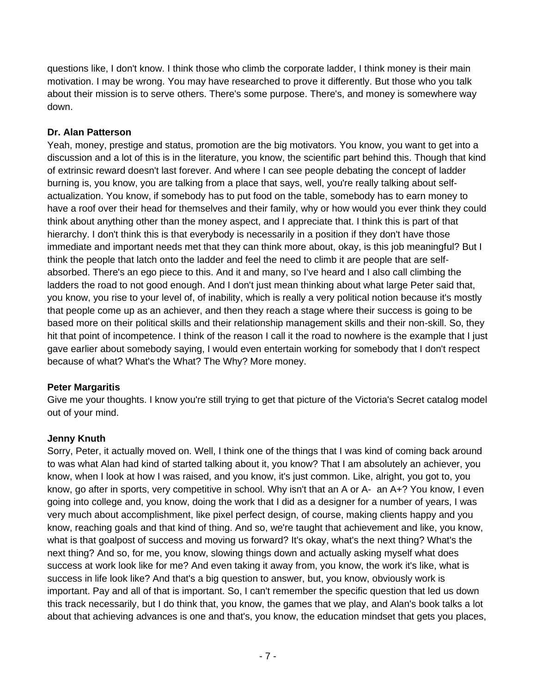questions like, I don't know. I think those who climb the corporate ladder, I think money is their main motivation. I may be wrong. You may have researched to prove it differently. But those who you talk about their mission is to serve others. There's some purpose. There's, and money is somewhere way down.

# **Dr. Alan Patterson**

Yeah, money, prestige and status, promotion are the big motivators. You know, you want to get into a discussion and a lot of this is in the literature, you know, the scientific part behind this. Though that kind of extrinsic reward doesn't last forever. And where I can see people debating the concept of ladder burning is, you know, you are talking from a place that says, well, you're really talking about selfactualization. You know, if somebody has to put food on the table, somebody has to earn money to have a roof over their head for themselves and their family, why or how would you ever think they could think about anything other than the money aspect, and I appreciate that. I think this is part of that hierarchy. I don't think this is that everybody is necessarily in a position if they don't have those immediate and important needs met that they can think more about, okay, is this job meaningful? But I think the people that latch onto the ladder and feel the need to climb it are people that are selfabsorbed. There's an ego piece to this. And it and many, so I've heard and I also call climbing the ladders the road to not good enough. And I don't just mean thinking about what large Peter said that, you know, you rise to your level of, of inability, which is really a very political notion because it's mostly that people come up as an achiever, and then they reach a stage where their success is going to be based more on their political skills and their relationship management skills and their non-skill. So, they hit that point of incompetence. I think of the reason I call it the road to nowhere is the example that I just gave earlier about somebody saying, I would even entertain working for somebody that I don't respect because of what? What's the What? The Why? More money.

# **Peter Margaritis**

Give me your thoughts. I know you're still trying to get that picture of the Victoria's Secret catalog model out of your mind.

# **Jenny Knuth**

Sorry, Peter, it actually moved on. Well, I think one of the things that I was kind of coming back around to was what Alan had kind of started talking about it, you know? That I am absolutely an achiever, you know, when I look at how I was raised, and you know, it's just common. Like, alright, you got to, you know, go after in sports, very competitive in school. Why isn't that an A or A- an A+? You know, I even going into college and, you know, doing the work that I did as a designer for a number of years, I was very much about accomplishment, like pixel perfect design, of course, making clients happy and you know, reaching goals and that kind of thing. And so, we're taught that achievement and like, you know, what is that goalpost of success and moving us forward? It's okay, what's the next thing? What's the next thing? And so, for me, you know, slowing things down and actually asking myself what does success at work look like for me? And even taking it away from, you know, the work it's like, what is success in life look like? And that's a big question to answer, but, you know, obviously work is important. Pay and all of that is important. So, I can't remember the specific question that led us down this track necessarily, but I do think that, you know, the games that we play, and Alan's book talks a lot about that achieving advances is one and that's, you know, the education mindset that gets you places,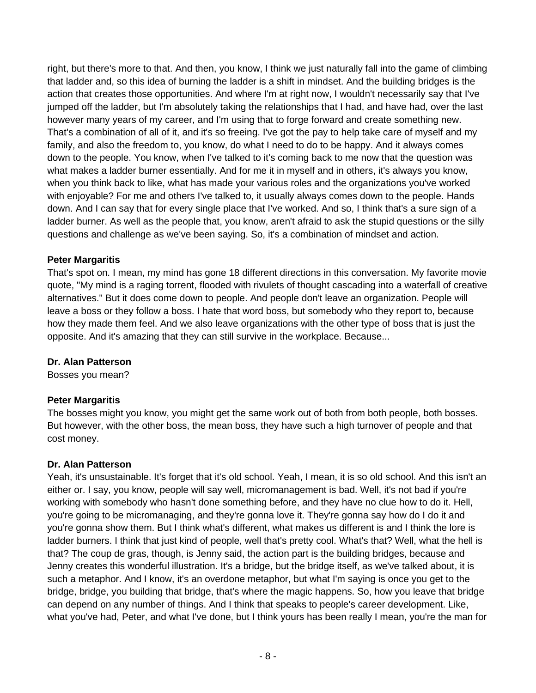right, but there's more to that. And then, you know, I think we just naturally fall into the game of climbing that ladder and, so this idea of burning the ladder is a shift in mindset. And the building bridges is the action that creates those opportunities. And where I'm at right now, I wouldn't necessarily say that I've jumped off the ladder, but I'm absolutely taking the relationships that I had, and have had, over the last however many years of my career, and I'm using that to forge forward and create something new. That's a combination of all of it, and it's so freeing. I've got the pay to help take care of myself and my family, and also the freedom to, you know, do what I need to do to be happy. And it always comes down to the people. You know, when I've talked to it's coming back to me now that the question was what makes a ladder burner essentially. And for me it in myself and in others, it's always you know, when you think back to like, what has made your various roles and the organizations you've worked with enjoyable? For me and others I've talked to, it usually always comes down to the people. Hands down. And I can say that for every single place that I've worked. And so, I think that's a sure sign of a ladder burner. As well as the people that, you know, aren't afraid to ask the stupid questions or the silly questions and challenge as we've been saying. So, it's a combination of mindset and action.

# **Peter Margaritis**

That's spot on. I mean, my mind has gone 18 different directions in this conversation. My favorite movie quote, "My mind is a raging torrent, flooded with rivulets of thought cascading into a waterfall of creative alternatives." But it does come down to people. And people don't leave an organization. People will leave a boss or they follow a boss. I hate that word boss, but somebody who they report to, because how they made them feel. And we also leave organizations with the other type of boss that is just the opposite. And it's amazing that they can still survive in the workplace. Because...

# **Dr. Alan Patterson**

Bosses you mean?

# **Peter Margaritis**

The bosses might you know, you might get the same work out of both from both people, both bosses. But however, with the other boss, the mean boss, they have such a high turnover of people and that cost money.

# **Dr. Alan Patterson**

Yeah, it's unsustainable. It's forget that it's old school. Yeah, I mean, it is so old school. And this isn't an either or. I say, you know, people will say well, micromanagement is bad. Well, it's not bad if you're working with somebody who hasn't done something before, and they have no clue how to do it. Hell, you're going to be micromanaging, and they're gonna love it. They're gonna say how do I do it and you're gonna show them. But I think what's different, what makes us different is and I think the lore is ladder burners. I think that just kind of people, well that's pretty cool. What's that? Well, what the hell is that? The coup de gras, though, is Jenny said, the action part is the building bridges, because and Jenny creates this wonderful illustration. It's a bridge, but the bridge itself, as we've talked about, it is such a metaphor. And I know, it's an overdone metaphor, but what I'm saying is once you get to the bridge, bridge, you building that bridge, that's where the magic happens. So, how you leave that bridge can depend on any number of things. And I think that speaks to people's career development. Like, what you've had, Peter, and what I've done, but I think yours has been really I mean, you're the man for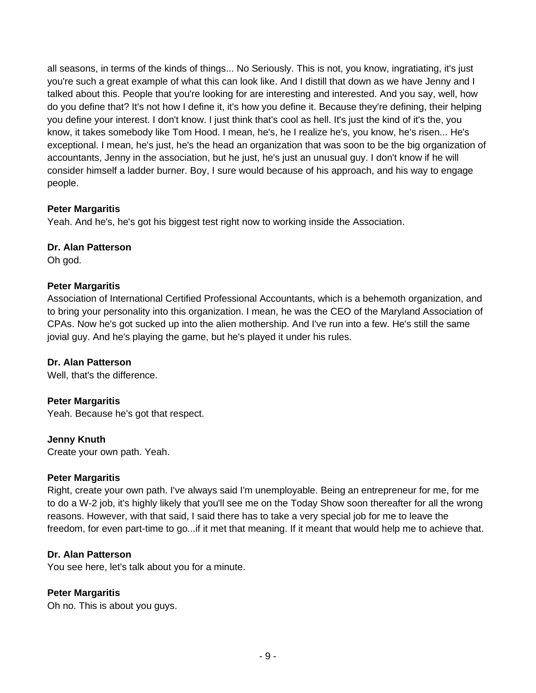all seasons, in terms of the kinds of things... No Seriously. This is not, you know, ingratiating, it's just you're such a great example of what this can look like. And I distill that down as we have Jenny and I talked about this. People that you're looking for are interesting and interested. And you say, well, how do you define that? It's not how I define it, it's how you define it. Because they're defining, their helping you define your interest. I don't know. I just think that's cool as hell. It's just the kind of it's the, you know, it takes somebody like Tom Hood. I mean, he's, he I realize he's, you know, he's risen... He's exceptional. I mean, he's just, he's the head an organization that was soon to be the big organization of accountants, Jenny in the association, but he just, he's just an unusual guy. I don't know if he will consider himself a ladder burner. Boy, I sure would because of his approach, and his way to engage people.

## **Peter Margaritis**

Yeah. And he's, he's got his biggest test right now to working inside the Association.

## **Dr. Alan Patterson**

Oh god.

## **Peter Margaritis**

Association of International Certified Professional Accountants, which is a behemoth organization, and to bring your personality into this organization. I mean, he was the CEO of the Maryland Association of CPAs. Now he's got sucked up into the alien mothership. And I've run into a few. He's still the same jovial guy. And he's playing the game, but he's played it under his rules.

# **Dr. Alan Patterson**

Well, that's the difference.

## **Peter Margaritis**

Yeah. Because he's got that respect.

## **Jenny Knuth**

Create your own path. Yeah.

## **Peter Margaritis**

Right, create your own path. I've always said I'm unemployable. Being an entrepreneur for me, for me to do a W-2 job, it's highly likely that you'll see me on the Today Show soon thereafter for all the wrong reasons. However, with that said, I said there has to take a very special job for me to leave the freedom, for even part-time to go...if it met that meaning. If it meant that would help me to achieve that.

## **Dr. Alan Patterson**

You see here, let's talk about you for a minute.

# **Peter Margaritis**

Oh no. This is about you guys.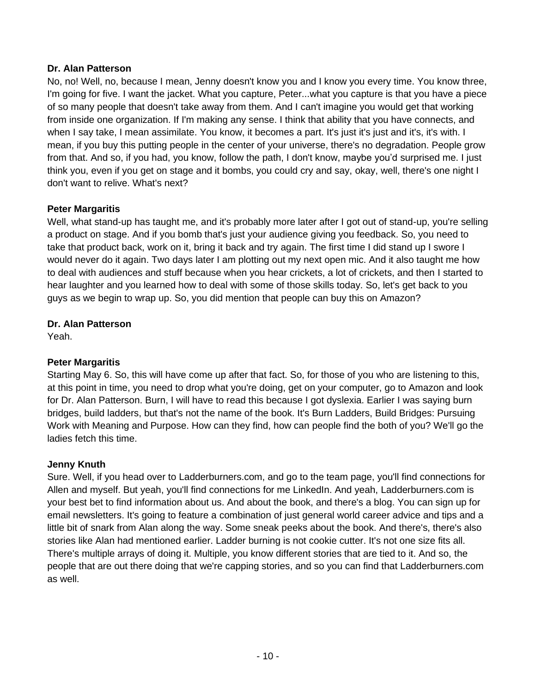## **Dr. Alan Patterson**

No, no! Well, no, because I mean, Jenny doesn't know you and I know you every time. You know three, I'm going for five. I want the jacket. What you capture, Peter...what you capture is that you have a piece of so many people that doesn't take away from them. And I can't imagine you would get that working from inside one organization. If I'm making any sense. I think that ability that you have connects, and when I say take, I mean assimilate. You know, it becomes a part. It's just it's just and it's, it's with. I mean, if you buy this putting people in the center of your universe, there's no degradation. People grow from that. And so, if you had, you know, follow the path, I don't know, maybe you'd surprised me. I just think you, even if you get on stage and it bombs, you could cry and say, okay, well, there's one night I don't want to relive. What's next?

## **Peter Margaritis**

Well, what stand-up has taught me, and it's probably more later after I got out of stand-up, you're selling a product on stage. And if you bomb that's just your audience giving you feedback. So, you need to take that product back, work on it, bring it back and try again. The first time I did stand up I swore I would never do it again. Two days later I am plotting out my next open mic. And it also taught me how to deal with audiences and stuff because when you hear crickets, a lot of crickets, and then I started to hear laughter and you learned how to deal with some of those skills today. So, let's get back to you guys as we begin to wrap up. So, you did mention that people can buy this on Amazon?

## **Dr. Alan Patterson**

Yeah.

# **Peter Margaritis**

Starting May 6. So, this will have come up after that fact. So, for those of you who are listening to this, at this point in time, you need to drop what you're doing, get on your computer, go to Amazon and look for Dr. Alan Patterson. Burn, I will have to read this because I got dyslexia. Earlier I was saying burn bridges, build ladders, but that's not the name of the book. It's Burn Ladders, Build Bridges: Pursuing Work with Meaning and Purpose. How can they find, how can people find the both of you? We'll go the ladies fetch this time.

## **Jenny Knuth**

Sure. Well, if you head over to Ladderburners.com, and go to the team page, you'll find connections for Allen and myself. But yeah, you'll find connections for me LinkedIn. And yeah, Ladderburners.com is your best bet to find information about us. And about the book, and there's a blog. You can sign up for email newsletters. It's going to feature a combination of just general world career advice and tips and a little bit of snark from Alan along the way. Some sneak peeks about the book. And there's, there's also stories like Alan had mentioned earlier. Ladder burning is not cookie cutter. It's not one size fits all. There's multiple arrays of doing it. Multiple, you know different stories that are tied to it. And so, the people that are out there doing that we're capping stories, and so you can find that Ladderburners.com as well.